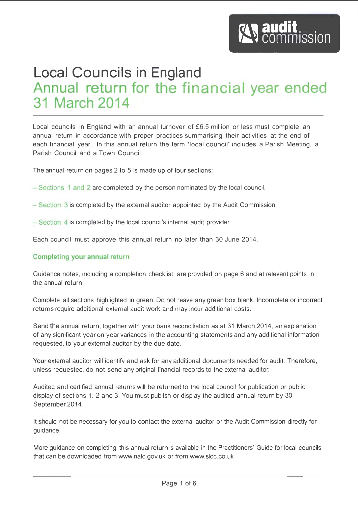# ~411 **audit.** . **127 commission**

# **Local Councils in England Annual return for the financial year ended 31 March 2014**

Local councils in England with an annual turnover of £6.5 million or less must complete an annual return in accordance with proper practices summarising their activities at the end of each financial year. In this annual return the term 'local council' includes a Parish Meeting, a Parish Council and a Town Council.

The annual return on pages 2 to 5 is made up of four sections:

- $-$  Sections 1 and 2 are completed by the person nominated by the local council.
- $-$  Section  $3$  is completed by the external auditor appointed by the Audit Commission.
- Section 4 is completed by the local council's internal audit provider.

Each council must approve this annual return no later than 30 June 2014.

#### **Completing your annual return**

Guidance notes, including a completion checklist, are provided on page 6 and at relevant points in the annual return.

Complete all sections highlighted in green. Do not leave any green box blank. Incomplete or incorrect returns require additional external audit work and may incur additional costs.

Send the annual return, together with your bank reconciliation as at 31 March 2014, an explanation of any significant year on year variances in the accounting statements and any additional information requested, to your external auditor by the due date.

Your external auditor will identify and ask for any additional documents needed for audit. Therefore, unless requested, do not send any original financial records to the external auditor.

Audited and certified annual returns will be returned to the local council for publication or public display of sections 1, 2 and 3. You must publish or display the audited annual return by 30 September 2014.

It should not be necessary for you to contact the external auditor or the Audit Commission directly for guidance.

More guidance on completing this annual return is available in the Practitioners' Guide for local councils that can be downloaded from www.nalc.gov.uk or from www.slcc.co.uk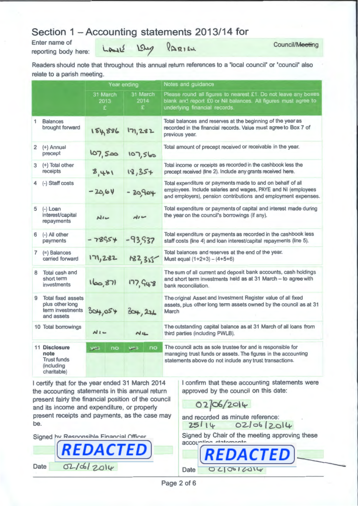# Section 1 - Accounting statements 2013/14 for

Enter name of reporting body here:

Lase

15mg PARISH

Council/Meeting

Readers should note that throughout this annual return references to a 'local council' or 'council' also relate to a parish meeting.

|                |                                                                                | Year ending           |                       | Notes and guidance                                                                                                                                                                            |  |  |
|----------------|--------------------------------------------------------------------------------|-----------------------|-----------------------|-----------------------------------------------------------------------------------------------------------------------------------------------------------------------------------------------|--|--|
|                |                                                                                | 31 March<br>2013<br>£ | 31 March<br>2014<br>£ | Please round all figures to nearest £1. Do not leave any boxes<br>blank and report $\overline{E}0$ or Nil balances. All figures must agree to<br>underlying financial records.                |  |  |
| 1              | <b>Balances</b><br>brought forward                                             | 154886                | 171, 282              | Total balances and reserves at the beginning of the year as<br>recorded in the financial records. Value must agree to Box 7 of<br>previous year.                                              |  |  |
| $\overline{2}$ | (+) Annual<br>precept                                                          | 107.500               | 107,560               | Total amount of precept received or receivable in the year.                                                                                                                                   |  |  |
| 3              | (+) Total other<br>receipts                                                    | 8,461                 | $18,35+$              | Total income or receipts as recorded in the cashbook less the<br>precept received (line 2). Include any grants received here.                                                                 |  |  |
|                | (-) Staff costs                                                                | $-20,6V$              | $-20,904$             | Total expenditure or payments made to and on behalf of all<br>employees. Include salaries and wages, PAYE and NI (employees<br>and employers), pension contributions and employment expenses. |  |  |
| 5              | $(-)$ Loan<br>interest/capital<br>repayments                                   | $M_{1}$               | A1                    | Total expenditure or payments of capital and interest made during<br>the year on the council's borrowings (if any).                                                                           |  |  |
| 6              | (-) All other<br>payments                                                      | $-78554$              | $-93,537$             | Total expenditure or payments as recorded in the cashbook less<br>staff costs (line 4) and loan interest/capital repayments (line 5).                                                         |  |  |
|                | $7$ (=) Balances<br>carried forward                                            | 171,282               | 182,315               | Total balances and reserves at the end of the year.<br>Must equal $(1+2+3) - (4+5+6)$                                                                                                         |  |  |
| 8              | Total cash and<br>short term<br>investments                                    | 160, 871              | 177, 948              | The sum of all current and deposit bank accounts, cash holdings<br>and short term investments held as at 31 March - to agree with<br>bank reconciliation.                                     |  |  |
| 9              | <b>Total fixed assets</b><br>plus other long<br>term investments<br>and assets | 304,054               | 304, 226              | The original Asset and Investment Register value of all fixed<br>assets, plus other long term assets owned by the council as at 31<br><b>March</b>                                            |  |  |
|                | 10 Total borrowings                                                            | $N1-$                 | $N_{12}$              | The outstanding capital balance as at 31 March of all loans from<br>third parties (including PWLB).                                                                                           |  |  |
|                | 11 Disclosure<br>note<br><b>Trust funds</b><br>(including<br>charitable)       | ves<br>no             | <b>VOS</b><br>no      | The council acts as sole trustee for and is responsible for<br>managing trust funds or assets. The figures in the accounting<br>statements above do not include any trust transactions.       |  |  |

I certify that for the year ended 31 March 2014 the accounting statements in this annual return present fairly the financial position of the council and its income and expenditure, or properly present receipts and payments, as the case may be.



I confirm that these accounting statements were approved by the council on this date:

 $02]$  $06/2$  $01$ 

and recorded as minute reference:  $25114 - 021062014$ 

Signed by Chair of the meeting approving these

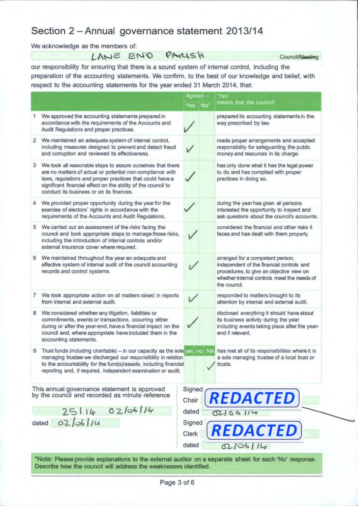# **Section 2 - Annual governance statement 2013/14**

We acknowledge as the members of:

LANE END PARISH COUncil/Meeting

our responsibility for ensuring that there is a sound system of internal control, including the preparation of the accounting statements. We confirm, to the best of our knowledge and belief, with respect to the accounting statements for the year ended 31 March 2014, that:

|                                                                                                                                                                                                                                                                                                         | Agreed          |                 | 'Yes'                                                                                                                                                                                    |
|---------------------------------------------------------------------------------------------------------------------------------------------------------------------------------------------------------------------------------------------------------------------------------------------------------|-----------------|-----------------|------------------------------------------------------------------------------------------------------------------------------------------------------------------------------------------|
|                                                                                                                                                                                                                                                                                                         | <b>Yes</b>      | No <sup>+</sup> | means that the council:                                                                                                                                                                  |
| We approved the accounting statements prepared in<br>1<br>accordance with the requirements of the Accounts and<br>Audit Regulations and proper practices.                                                                                                                                               |                 |                 | prepared its accounting statements in the<br>way prescribed by law.                                                                                                                      |
| We maintained an adequate system of internal control,<br>$\mathbf{2}$<br>including measures designed to prevent and detect fraud<br>and corruption and reviewed its effectiveness.                                                                                                                      | $\checkmark$    |                 | made proper arrangements and accepted<br>responsibility for safeguarding the public<br>money and resources in its charge.                                                                |
| We took all reasonable steps to assure ourselves that there<br>з.<br>are no matters of actual or potential non-compliance with<br>laws, regulations and proper practices that could have a<br>significant financial effect on the ability of the council to<br>conduct its business or on its finances. |                 |                 | has only done what it has the legal power<br>to do and has complied with proper<br>practices in doing so.                                                                                |
| We provided proper opportunity during the year for the<br>4<br>exercise of electors' rights in accordance with the<br>requirements of the Accounts and Audit Regulations.                                                                                                                               |                 |                 | during the year has given all persons<br>interested the opportunity to inspect and<br>ask questions about the council's accounts.                                                        |
| We carried out an assessment of the risks facing the<br>5.<br>council and took appropriate steps to manage those risks,<br>including the introduction of internal controls and/or<br>external insurance cover where required.                                                                           |                 |                 | considered the financial and other risks it<br>faces and has dealt with them properly.                                                                                                   |
| We maintained throughout the year an adequate and<br>6.<br>effective system of internal audit of the council accounting<br>records and control systems.                                                                                                                                                 |                 |                 | arranged for a competent person,<br>independent of the financial controls and<br>procedures, to give an objective view on<br>whether internal controls meet the needs of<br>the council. |
| We took appropriate action on all matters raised in reports<br>7.<br>from internal and external audit.                                                                                                                                                                                                  |                 |                 | responded to matters brought to its<br>attention by internal and external audit.                                                                                                         |
| We considered whether any litigation, liabilities or<br>8<br>commitments, events or transactions, occurring either<br>during or after the year-end, have a financial impact on the<br>council and, where appropriate have included them in the<br>accounting statements.                                |                 |                 | disclosed everything it should have about<br>its business activity during the year<br>including events taking place after the year-<br>end if relevant.                                  |
| Trust funds (including charitable) – in our capacity as the sole yes no NA<br>9.<br>managing trustee we discharged our responsibility in relation<br>to the accountability for the fund(s)/assets, including financial<br>reporting and, if required, independent examination or audit.                 |                 |                 | has met all of its responsibilities where it is<br>a sole managing trustee of a local trust or<br>trusts.                                                                                |
| This annual governance statement is approved<br>by the council and recorded as minute reference                                                                                                                                                                                                         | Signed<br>Chair |                 | <i><b>REDACTED</b></i>                                                                                                                                                                   |
| 62/06/14<br>25114                                                                                                                                                                                                                                                                                       | dated           |                 | 02100114                                                                                                                                                                                 |
| 02/06/14<br>dated                                                                                                                                                                                                                                                                                       | Signed          |                 |                                                                                                                                                                                          |
|                                                                                                                                                                                                                                                                                                         | <b>Clerk</b>    |                 | REDACTED                                                                                                                                                                                 |
|                                                                                                                                                                                                                                                                                                         | dated           |                 | 02/06/14                                                                                                                                                                                 |

\*Note: Please provide explanations to the external auditor on a separate sheet for each 'No' response. Describe how the council will address the weaknesses identified.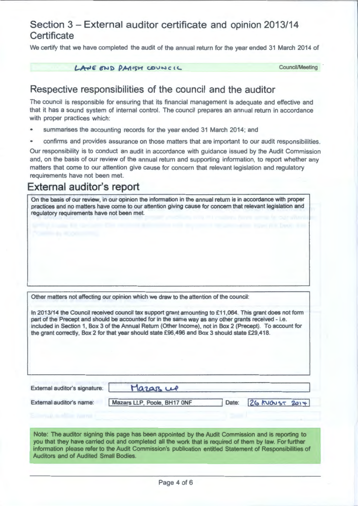### Section 3 - External auditor certificate and opinion 2013/14 **Certificate**

We certify that we have completed the audit of the annual return for the year ended 31 March 2014 of

#### LANE END PARISM COUNCIL

Council/Meeting

### Respective responsibilities of the council and the auditor

The council is responsible for ensuring that its financial management is adequate and effective and that it has a sound system of internal control. The council prepares an annual return in accordance with proper practices which:

- summarises the accounting records for the year ended 31 March 2014; and
- confirms and provides assurance on those matters that are important to our audit responsibilities.

Our responsibility is to conduct an audit in accordance with guidance issued by the Audit Commission and, on the basis of our review of the annual return and supporting information, to report whether any matters that come to our attention give cause for concern that relevant legislation and regulatory requirements have not been met.

# External auditor's report

| regulatory requirements have not been met. | On the basis of our review, in our opinion the information in the annual return is in accordance with proper<br>practices and no matters have come to our attention giving cause for concern that relevant legislation and                                                                                                                                                                                                                                                                                             |
|--------------------------------------------|------------------------------------------------------------------------------------------------------------------------------------------------------------------------------------------------------------------------------------------------------------------------------------------------------------------------------------------------------------------------------------------------------------------------------------------------------------------------------------------------------------------------|
|                                            | Other matters not affecting our opinion which we draw to the attention of the council:<br>In 2013/14 the Council received council tax support grant amounting to £11,064. This grant does not form<br>part of the Precept and should be accounted for in the same way as any other grants received - i.e.<br>included in Section 1, Box 3 of the Annual Return (Other Income), not in Box 2 (Precept). To account for<br>the grant correctly, Box 2 for that year should state £96,496 and Box 3 should state £29,418. |
| External auditor's signature:              | Mazars up                                                                                                                                                                                                                                                                                                                                                                                                                                                                                                              |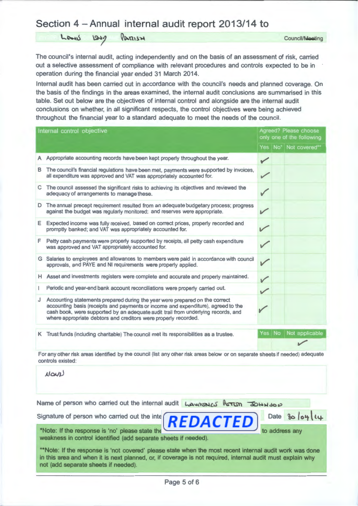## Section 4 - Annual internal audit report 2013/14 to

Lane PARISM  $1949$ 

The council's internal audit, acting independently and on the basis of an assessment of risk, carried out a selective assessment of compliance with relevant procedures and controls expected to be in operation during the financial year ended 31 March 2014.

Internal audit has been carried out in accordance with the council's needs and planned coverage. On the basis of the findings in the areas examined, the internal audit conclusions are summarised in this table. Set out below are the objectives of internal control and alongside are the internal audit conclusions on whether, in all significant respects, the control objectives were being achieved throughout the financial year to a standard adequate to meet the needs of the council.

| Internal control objective |                                                                                                                                                                                                                                                                                                                          |              | Agreed? Please choose<br>only one of the following |                 |  |  |  |
|----------------------------|--------------------------------------------------------------------------------------------------------------------------------------------------------------------------------------------------------------------------------------------------------------------------------------------------------------------------|--------------|----------------------------------------------------|-----------------|--|--|--|
|                            |                                                                                                                                                                                                                                                                                                                          | Yes No*      |                                                    | Not covered**   |  |  |  |
|                            | A Appropriate accounting records have been kept properly throughout the year.                                                                                                                                                                                                                                            | ✓            |                                                    |                 |  |  |  |
| в                          | The council's financial regulations have been met, payments were supported by invoices,<br>all expenditure was approved and VAT was appropriately accounted for.                                                                                                                                                         | ✓            |                                                    |                 |  |  |  |
|                            | C The council assessed the significant risks to achieving its objectives and reviewed the<br>adequacy of arrangements to manage these.                                                                                                                                                                                   |              |                                                    |                 |  |  |  |
|                            | D The annual precept requirement resulted from an adequate budgetary process; progress<br>against the budget was regularly monitored; and reserves were appropriate.                                                                                                                                                     |              |                                                    |                 |  |  |  |
| Е                          | Expected income was fully received, based on correct prices, properly recorded and<br>promptly banked; and VAT was appropriately accounted for.                                                                                                                                                                          |              |                                                    |                 |  |  |  |
| F.                         | Petty cash payments were properly supported by receipts, all petty cash expenditure<br>was approved and VAT appropriately accounted for.                                                                                                                                                                                 | ✓            |                                                    |                 |  |  |  |
| G                          | Salaries to employees and allowances to members were paid in accordance with council<br>approvals, and PAYE and NI requirements were properly applied.                                                                                                                                                                   | $\checkmark$ |                                                    |                 |  |  |  |
|                            | H Asset and investments registers were complete and accurate and properly maintained.                                                                                                                                                                                                                                    | $\checkmark$ |                                                    |                 |  |  |  |
| L.                         | Periodic and year-end bank account reconciliations were properly carried out.                                                                                                                                                                                                                                            | $\checkmark$ |                                                    |                 |  |  |  |
| J                          | Accounting statements prepared during the year were prepared on the correct<br>accounting basis (receipts and payments or income and expenditure), agreed to the<br>cash book, were supported by an adequate audit trail from underlying records, and<br>where appropriate debtors and creditors were properly recorded. |              |                                                    |                 |  |  |  |
|                            | K Trust funds (including charitable) The council met its responsibilities as a trustee.                                                                                                                                                                                                                                  | Yes No       |                                                    | Not applicable  |  |  |  |
|                            | For any other risk areas identified by the council (list any other risk areas below or on separate sheets if needed) adequate<br>controls existed:                                                                                                                                                                       |              |                                                    |                 |  |  |  |
|                            | NOUN                                                                                                                                                                                                                                                                                                                     |              |                                                    |                 |  |  |  |
|                            | Name of person who carried out the internal audit Lawrences horton JOHNSON                                                                                                                                                                                                                                               |              |                                                    |                 |  |  |  |
|                            | Signature of person who carried out the interpolar CTED                                                                                                                                                                                                                                                                  |              |                                                    | Date $30/04/14$ |  |  |  |
|                            | *Note: if the response is 'no' please state the<br>to address any<br>weakness in control identified (add separate sheets if needed).                                                                                                                                                                                     |              |                                                    |                 |  |  |  |
|                            | **Note: If the response is 'not covered' please state when the most recent internal audit work was done<br>in this area and when it is next planned, or, if coverage is not required, internal audit must explain why<br>not (add separate sheets if needed).                                                            |              |                                                    |                 |  |  |  |